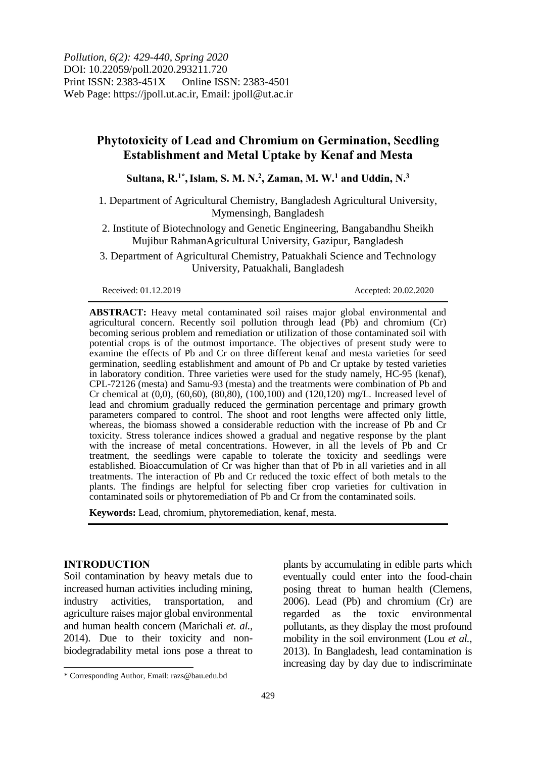*Pollution, 6(2): 429-440, Spring 2020* DOI: 10.22059/poll.2020.293211.720 Print ISSN: 2383-451X Online ISSN: 2383-4501 Web Page: https://jpoll.ut.ac.ir, Email: jpoll@ut.ac.ir

# **Phytotoxicity of Lead and Chromium on Germination, Seedling Establishment and Metal Uptake by Kenaf and Mesta**

Sultana, R.<sup>1\*</sup>, Islam, S. M. N.<sup>2</sup>, Zaman, M. W.<sup>1</sup> and Uddin, N.<sup>3</sup>

1. Department of Agricultural Chemistry, Bangladesh Agricultural University, Mymensingh, Bangladesh

2. Institute of Biotechnology and Genetic Engineering, Bangabandhu Sheikh Mujibur RahmanAgricultural University, Gazipur, Bangladesh

3. Department of Agricultural Chemistry, Patuakhali Science and Technology University, Patuakhali, Bangladesh

Received: 01.12.2019 Accepted: 20.02.2020

**ABSTRACT:** Heavy metal contaminated soil raises major global environmental and agricultural concern. Recently soil pollution through lead (Pb) and chromium (Cr) becoming serious problem and remediation or utilization of those contaminated soil with potential crops is of the outmost importance. The objectives of present study were to examine the effects of Pb and Cr on three different kenaf and mesta varieties for seed germination, seedling establishment and amount of Pb and Cr uptake by tested varieties in laboratory condition. Three varieties were used for the study namely, HC-95 (kenaf), CPL-72126 (mesta) and Samu-93 (mesta) and the treatments were combination of Pb and Cr chemical at (0,0), (60,60), (80,80), (100,100) and (120,120) mg/L. Increased level of lead and chromium gradually reduced the germination percentage and primary growth parameters compared to control. The shoot and root lengths were affected only little, whereas, the biomass showed a considerable reduction with the increase of Pb and Cr toxicity. Stress tolerance indices showed a gradual and negative response by the plant with the increase of metal concentrations. However, in all the levels of Pb and Cr treatment, the seedlings were capable to tolerate the toxicity and seedlings were established. Bioaccumulation of Cr was higher than that of Pb in all varieties and in all treatments. The interaction of Pb and Cr reduced the toxic effect of both metals to the plants. The findings are helpful for selecting fiber crop varieties for cultivation in contaminated soils or phytoremediation of Pb and Cr from the contaminated soils.

**Keywords:** Lead, chromium, phytoremediation, kenaf, mesta.

#### **INTRODUCTION**

 $\overline{\phantom{a}}$ 

Soil contamination by heavy metals due to increased human activities including mining, industry activities, transportation, and agriculture raises major global environmental and human health concern (Marichali *et. al.,* 2014). Due to their toxicity and nonbiodegradability metal ions pose a threat to

plants by accumulating in edible parts which eventually could enter into the food-chain posing threat to human health (Clemens, 2006). Lead (Pb) and chromium (Cr) are regarded as the toxic environmental pollutants, as they display the most profound mobility in the soil environment (Lou *et al.*, 2013). In Bangladesh, lead contamination is increasing day by day due to indiscriminate

<sup>\*</sup> Corresponding Author, Email: razs@bau.edu.bd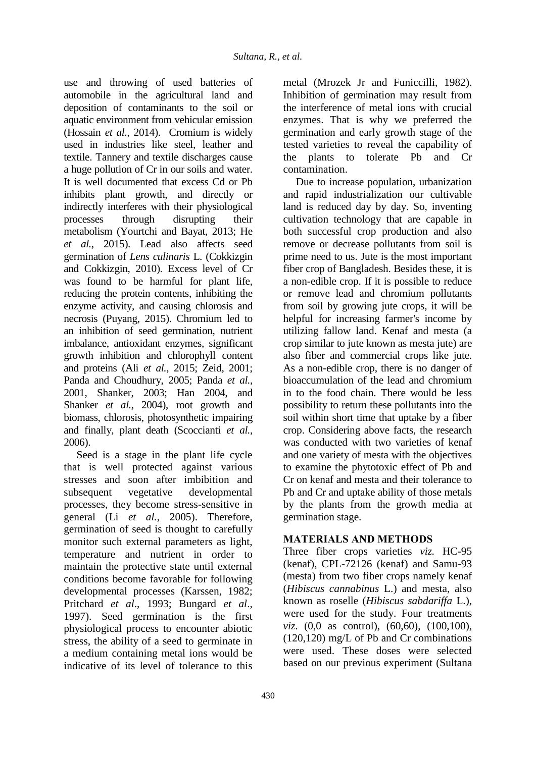use and throwing of used batteries of automobile in the agricultural land and deposition of contaminants to the soil or aquatic environment from vehicular emission (Hossain *et al.,* 2014). Cromium is widely used in industries like steel, leather and textile. Tannery and textile discharges cause a huge pollution of Cr in our soils and water. It is well documented that excess Cd or Pb inhibits plant growth, and directly or indirectly interferes with their physiological processes through disrupting their metabolism (Yourtchi and Bayat, 2013; He *et al.*, 2015). Lead also affects seed germination of *Lens culinaris* L. (Cokkizgin and Cokkizgin, 2010). Excess level of Cr was found to be harmful for plant life, reducing the protein contents, inhibiting the enzyme activity, and causing chlorosis and necrosis (Puyang, 2015). Chromium led to an inhibition of seed germination, nutrient imbalance, antioxidant enzymes, significant growth inhibition and chlorophyll content and proteins (Ali *et al.*, 2015; Zeid, 2001; Panda and Choudhury, 2005; Panda *et al.*, 2001, Shanker, 2003; Han 2004, and Shanker *et al.*, 2004), root growth and biomass, chlorosis, photosynthetic impairing and finally, plant death (Scoccianti *et al.*, 2006).

Seed is a stage in the plant life cycle that is well protected against various stresses and soon after imbibition and subsequent vegetative developmental processes, they become stress-sensitive in general (Li *et al.*, 2005). Therefore, germination of seed is thought to carefully monitor such external parameters as light, temperature and nutrient in order to maintain the protective state until external conditions become favorable for following developmental processes (Karssen, 1982; Pritchard *et al*., 1993; Bungard *et al*., 1997). Seed germination is the first physiological process to encounter abiotic stress, the ability of a seed to germinate in a medium containing metal ions would be indicative of its level of tolerance to this

metal (Mrozek Jr and Funiccilli, 1982). Inhibition of germination may result from the interference of metal ions with crucial enzymes. That is why we preferred the germination and early growth stage of the tested varieties to reveal the capability of the plants to tolerate Pb and Cr contamination.

Due to increase population, urbanization and rapid industrialization our cultivable land is reduced day by day. So, inventing cultivation technology that are capable in both successful crop production and also remove or decrease pollutants from soil is prime need to us. Jute is the most important fiber crop of Bangladesh. Besides these, it is a non-edible crop. If it is possible to reduce or remove lead and chromium pollutants from soil by growing jute crops, it will be helpful for increasing farmer's income by utilizing fallow land. Kenaf and mesta (a crop similar to jute known as mesta jute) are also fiber and commercial crops like jute. As a non-edible crop, there is no danger of bioaccumulation of the lead and chromium in to the food chain. There would be less possibility to return these pollutants into the soil within short time that uptake by a fiber crop. Considering above facts, the research was conducted with two varieties of kenaf and one variety of mesta with the objectives to examine the phytotoxic effect of Pb and Cr on kenaf and mesta and their tolerance to Pb and Cr and uptake ability of those metals by the plants from the growth media at germination stage.

## **MATERIALS AND METHODS**

Three fiber crops varieties *viz.* HC-95 (kenaf), CPL-72126 (kenaf) and Samu-93 (mesta) from two fiber crops namely kenaf (*Hibiscus cannabinus* L.) and mesta, also known as roselle (*Hibiscus sabdariffa* L.), were used for the study. Four treatments *viz.* (0,0 as control), (60,60), (100,100), (120,120) mg/L of Pb and Cr combinations were used. These doses were selected based on our previous experiment (Sultana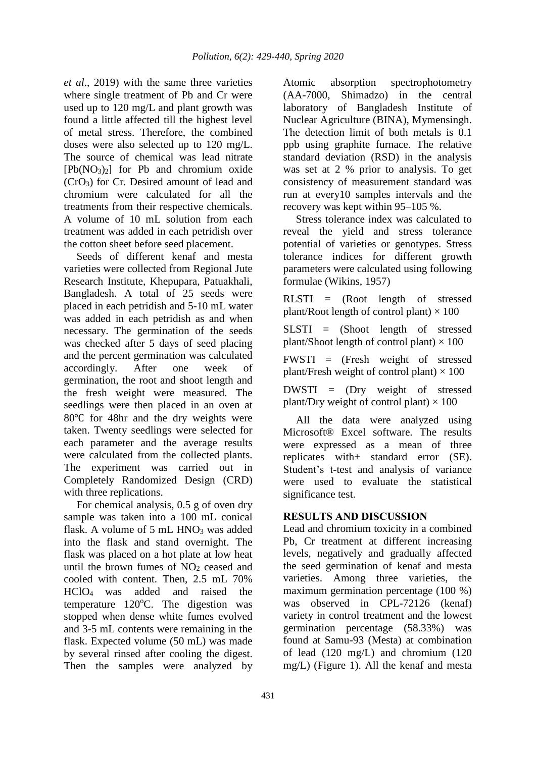*et al*., 2019) with the same three varieties where single treatment of Pb and Cr were used up to 120 mg/L and plant growth was found a little affected till the highest level of metal stress. Therefore, the combined doses were also selected up to 120 mg/L. The source of chemical was lead nitrate  $[Pb(NO_3)_2]$  for Pb and chromium oxide (CrO3) for Cr. Desired amount of lead and chromium were calculated for all the treatments from their respective chemicals. A volume of 10 mL solution from each treatment was added in each petridish over the cotton sheet before seed placement.

Seeds of different kenaf and mesta varieties were collected from Regional Jute Research Institute, Khepupara, Patuakhali, Bangladesh. A total of 25 seeds were placed in each petridish and 5-10 mL water was added in each petridish as and when necessary. The germination of the seeds was checked after 5 days of seed placing and the percent germination was calculated accordingly. After one week of germination, the root and shoot length and the fresh weight were measured. The seedlings were then placed in an oven at 80℃ for 48hr and the dry weights were taken. Twenty seedlings were selected for each parameter and the average results were calculated from the collected plants. The experiment was carried out in Completely Randomized Design (CRD) with three replications.

For chemical analysis, 0.5 g of oven dry sample was taken into a 100 mL conical flask. A volume of  $5 \text{ mL HNO}_3$  was added into the flask and stand overnight. The flask was placed on a hot plate at low heat until the brown fumes of  $NO<sub>2</sub>$  ceased and cooled with content. Then, 2.5 mL 70% HClO4 was added and raised the temperature 120°C. The digestion was stopped when dense white fumes evolved and 3-5 mL contents were remaining in the flask. Expected volume (50 mL) was made by several rinsed after cooling the digest. Then the samples were analyzed by

Atomic absorption spectrophotometry (AA-7000, Shimadzo) in the central laboratory of Bangladesh Institute of Nuclear Agriculture (BINA), Mymensingh. The detection limit of both metals is 0.1 ppb using graphite furnace. The relative standard deviation (RSD) in the analysis was set at 2 % prior to analysis. To get consistency of measurement standard was run at every10 samples intervals and the recovery was kept within 95–105 %.

Stress tolerance index was calculated to reveal the yield and stress tolerance potential of varieties or genotypes. Stress tolerance indices for different growth parameters were calculated using following formulae (Wikins, 1957)

RLSTI = (Root length of stressed plant/Root length of control plant)  $\times$  100

SLSTI = (Shoot length of stressed plant/Shoot length of control plant)  $\times$  100

FWSTI = (Fresh weight of stressed plant/Fresh weight of control plant)  $\times$  100

DWSTI = (Dry weight of stressed plant/Dry weight of control plant)  $\times$  100

All the data were analyzed using Microsoft® Excel software. The results were expressed as a mean of three replicates with± standard error (SE). Student's t-test and analysis of variance were used to evaluate the statistical significance test.

## **RESULTS AND DISCUSSION**

Lead and chromium toxicity in a combined Pb, Cr treatment at different increasing levels, negatively and gradually affected the seed germination of kenaf and mesta varieties. Among three varieties, the maximum germination percentage (100 %) was observed in CPL-72126 (kenaf) variety in control treatment and the lowest germination percentage (58.33%) was found at Samu-93 (Mesta) at combination of lead (120 mg/L) and chromium (120 mg/L) (Figure 1). All the kenaf and mesta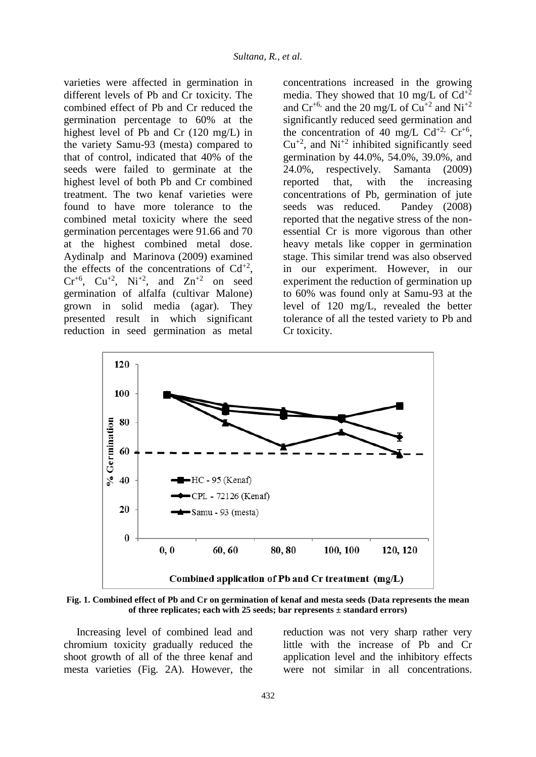varieties were affected in germination in different levels of Pb and Cr toxicity. The combined effect of Pb and Cr reduced the germination percentage to 60% at the highest level of Pb and Cr (120 mg/L) in the variety Samu-93 (mesta) compared to that of control, indicated that 40% of the seeds were failed to germinate at the highest level of both Pb and Cr combined treatment. The two kenaf varieties were found to have more tolerance to the combined metal toxicity where the seed germination percentages were 91.66 and 70 at the highest combined metal dose. Aydinalp and Marinova (2009) examined the effects of the concentrations of  $Cd^{+2}$ ,  $Cr^{+6}$ ,  $Cu^{+2}$ ,  $Ni^{+2}$ , and  $Zn^{+2}$  on seed germination of alfalfa (cultivar Malone) grown in solid media (agar). They presented result in which significant reduction in seed germination as metal

concentrations increased in the growing media. They showed that 10 mg/L of  $Cd^{+2}$ and  $Cr^{+6}$ , and the 20 mg/L of  $Cu^{+2}$  and  $Ni^{+2}$ significantly reduced seed germination and the concentration of 40 mg/L  $Cd^{+2}$ ,  $Cr^{+6}$ ,  $Cu^{+2}$ , and  $Ni^{+2}$  inhibited significantly seed germination by 44.0%, 54.0%, 39.0%, and 24.0%, respectively. Samanta (2009) reported that, with the increasing concentrations of Pb, germination of jute seeds was reduced. Pandey (2008) reported that the negative stress of the nonessential Cr is more vigorous than other heavy metals like copper in germination stage. This similar trend was also observed in our experiment. However, in our experiment the reduction of germination up to 60% was found only at Samu-93 at the level of 120 mg/L, revealed the better tolerance of all the tested variety to Pb and Cr toxicity.



**Fig. 1. Combined effect of Pb and Cr on germination of kenaf and mesta seeds (Data represents the mean of three replicates; each with 25 seeds; bar represents ± standard errors)**

Increasing level of combined lead and chromium toxicity gradually reduced the shoot growth of all of the three kenaf and mesta varieties (Fig. 2A). However, the

reduction was not very sharp rather very little with the increase of Pb and Cr application level and the inhibitory effects were not similar in all concentrations.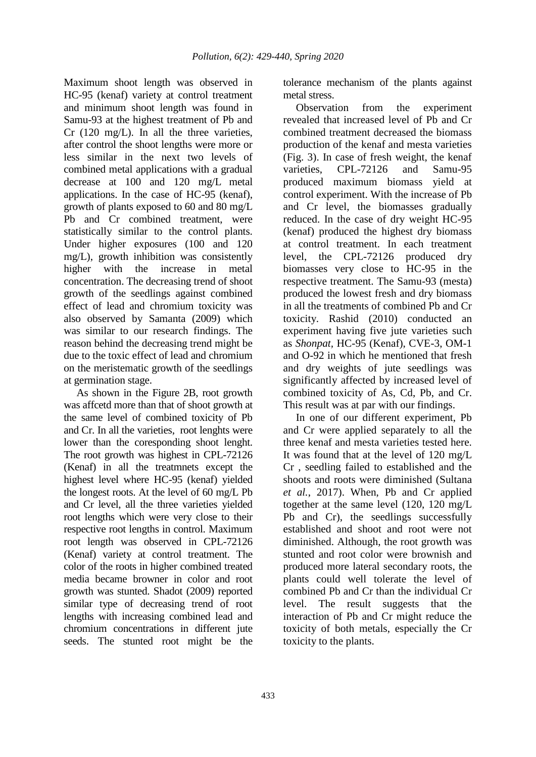Maximum shoot length was observed in HC-95 (kenaf) variety at control treatment and minimum shoot length was found in Samu-93 at the highest treatment of Pb and Cr (120 mg/L). In all the three varieties, after control the shoot lengths were more or less similar in the next two levels of combined metal applications with a gradual decrease at 100 and 120 mg/L metal applications. In the case of HC-95 (kenaf), growth of plants exposed to 60 and 80 mg/L Pb and Cr combined treatment, were statistically similar to the control plants. Under higher exposures (100 and 120 mg/L), growth inhibition was consistently higher with the increase in metal concentration. The decreasing trend of shoot growth of the seedlings against combined effect of lead and chromium toxicity was also observed by Samanta (2009) which was similar to our research findings. The reason behind the decreasing trend might be due to the toxic effect of lead and chromium on the meristematic growth of the seedlings at germination stage.

As shown in the Figure 2B, root growth was affcetd more than that of shoot growth at the same level of combined toxicity of Pb and Cr. In all the varieties, root lenghts were lower than the coresponding shoot lenght. The root growth was highest in CPL-72126 (Kenaf) in all the treatmnets except the highest level where HC-95 (kenaf) yielded the longest roots. At the level of 60 mg/L Pb and Cr level, all the three varieties yielded root lengths which were very close to their respective root lengths in control. Maximum root length was observed in CPL-72126 (Kenaf) variety at control treatment. The color of the roots in higher combined treated media became browner in color and root growth was stunted. Shadot (2009) reported similar type of decreasing trend of root lengths with increasing combined lead and chromium concentrations in different jute seeds. The stunted root might be the

tolerance mechanism of the plants against metal stress.

Observation from the experiment revealed that increased level of Pb and Cr combined treatment decreased the biomass production of the kenaf and mesta varieties (Fig. 3). In case of fresh weight, the kenaf varieties, CPL-72126 and Samu-95 produced maximum biomass yield at control experiment. With the increase of Pb and Cr level, the biomasses gradually reduced. In the case of dry weight HC-95 (kenaf) produced the highest dry biomass at control treatment. In each treatment level, the CPL-72126 produced dry biomasses very close to HC-95 in the respective treatment. The Samu-93 (mesta) produced the lowest fresh and dry biomass in all the treatments of combined Pb and Cr toxicity. Rashid (2010) conducted an experiment having five jute varieties such as *Shonpat,* HC-95 (Kenaf), CVE-3, OM-1 and O-92 in which he mentioned that fresh and dry weights of jute seedlings was significantly affected by increased level of combined toxicity of As, Cd, Pb, and Cr. This result was at par with our findings.

In one of our different experiment, Pb and Cr were applied separately to all the three kenaf and mesta varieties tested here. It was found that at the level of 120 mg/L Cr , seedling failed to established and the shoots and roots were diminished (Sultana *et al.*, 2017). When, Pb and Cr applied together at the same level (120, 120 mg/L Pb and Cr), the seedlings successfully established and shoot and root were not diminished. Although, the root growth was stunted and root color were brownish and produced more lateral secondary roots, the plants could well tolerate the level of combined Pb and Cr than the individual Cr level. The result suggests that the interaction of Pb and Cr might reduce the toxicity of both metals, especially the Cr toxicity to the plants.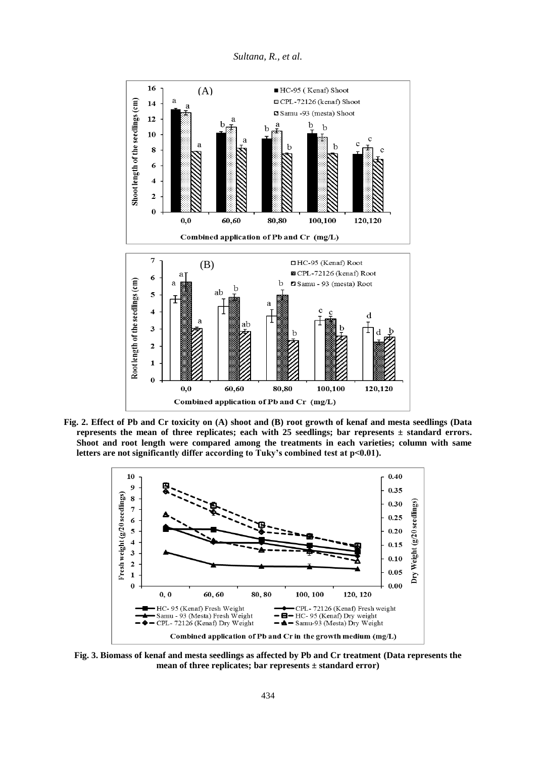



**Fig. 2. Effect of Pb and Cr toxicity on (A) shoot and (B) root growth of kenaf and mesta seedlings (Data**  represents the mean of three replicates; each with  $25$  seedlings; bar represents  $\pm$  standard errors. **Shoot and root length were compared among the treatments in each varieties; column with same**  letters are not significantly differ according to Tuky's combined test at p<0.01).



**Fig. 3. Biomass of kenaf and mesta seedlings as affected by Pb and Cr treatment (Data represents the mean of three replicates; bar represents ± standard error)**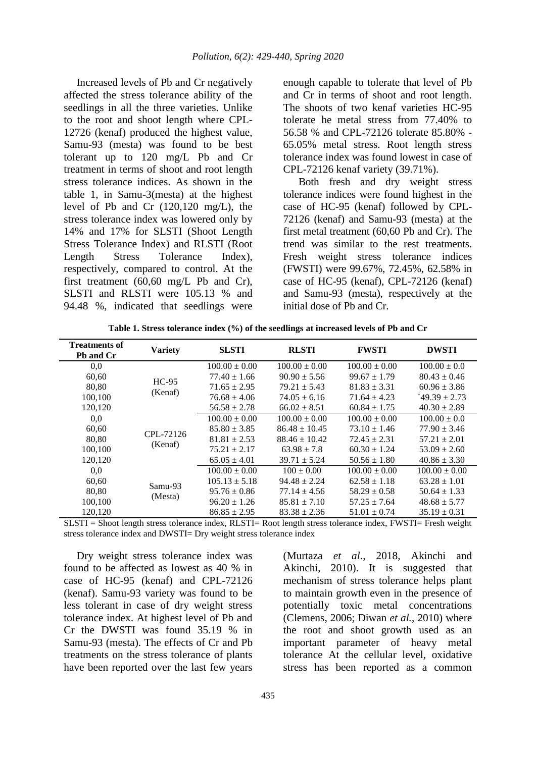Increased levels of Pb and Cr negatively affected the stress tolerance ability of the seedlings in all the three varieties. Unlike to the root and shoot length where CPL-12726 (kenaf) produced the highest value, Samu-93 (mesta) was found to be best tolerant up to 120 mg/L Pb and Cr treatment in terms of shoot and root length stress tolerance indices. As shown in the table 1, in Samu-3(mesta) at the highest level of Pb and Cr (120,120 mg/L), the stress tolerance index was lowered only by 14% and 17% for SLSTI (Shoot Length Stress Tolerance Index) and RLSTI (Root Length Stress Tolerance Index), respectively, compared to control. At the first treatment (60,60 mg/L Pb and Cr), SLSTI and RLSTI were 105.13 % and 94.48 %, indicated that seedlings were enough capable to tolerate that level of Pb and Cr in terms of shoot and root length. The shoots of two kenaf varieties HC-95 tolerate he metal stress from 77.40% to 56.58 % and CPL-72126 tolerate 85.80% - 65.05% metal stress. Root length stress tolerance index was found lowest in case of CPL-72126 kenaf variety (39.71%).

Both fresh and dry weight stress tolerance indices were found highest in the case of HC-95 (kenaf) followed by CPL-72126 (kenaf) and Samu-93 (mesta) at the first metal treatment (60,60 Pb and Cr). The trend was similar to the rest treatments. Fresh weight stress tolerance indices (FWSTI) were 99.67%, 72.45%, 62.58% in case of HC-95 (kenaf), CPL-72126 (kenaf) and Samu-93 (mesta), respectively at the initial dose of Pb and Cr.

| <b>Treatments of</b><br>Pb and Cr | <b>Variety</b>       | <b>SLSTI</b>      | <b>RLSTI</b>      | <b>FWSTI</b>      | <b>DWSTI</b>      |
|-----------------------------------|----------------------|-------------------|-------------------|-------------------|-------------------|
| 0,0                               | $HC-95$<br>(Kenaf)   | $100.00 \pm 0.00$ | $100.00 \pm 0.00$ | $100.00 \pm 0.00$ | $100.00 \pm 0.0$  |
| 60,60                             |                      | $77.40 \pm 1.66$  | $90.90 \pm 5.56$  | $99.67 \pm 1.79$  | $80.43 \pm 0.46$  |
| 80,80                             |                      | $71.65 \pm 2.95$  | $79.21 \pm 5.43$  | $81.83 \pm 3.31$  | $60.96 \pm 3.86$  |
| 100,100                           |                      | $76.68 \pm 4.06$  | $74.05 \pm 6.16$  | $71.64 \pm 4.23$  | $149.39 \pm 2.73$ |
| 120,120                           |                      | $56.58 \pm 2.78$  | $66.02 \pm 8.51$  | $60.84 \pm 1.75$  | $40.30 \pm 2.89$  |
| 0,0                               | CPL-72126<br>(Kenaf) | $100.00 \pm 0.00$ | $100.00 \pm 0.00$ | $100.00 \pm 0.00$ | $100.00 \pm 0.0$  |
| 60,60                             |                      | $85.80 \pm 3.85$  | $86.48 \pm 10.45$ | $73.10 \pm 1.46$  | $77.90 \pm 3.46$  |
| 80.80                             |                      | $81.81 \pm 2.53$  | $88.46 \pm 10.42$ | $72.45 \pm 2.31$  | $57.21 \pm 2.01$  |
| 100,100                           |                      | $75.21 \pm 2.17$  | $63.98 \pm 7.8$   | $60.30 \pm 1.24$  | $53.09 \pm 2.60$  |
| 120,120                           |                      | $65.05 \pm 4.01$  | $39.71 \pm 5.24$  | $50.56 \pm 1.80$  | $40.86 \pm 3.30$  |
| 0.0                               | Samu-93<br>(Mesta)   | $100.00 \pm 0.00$ | $100 \pm 0.00$    | $100.00 \pm 0.00$ | $100.00 \pm 0.00$ |
| 60,60                             |                      | $105.13 \pm 5.18$ | $94.48 \pm 2.24$  | $62.58 \pm 1.18$  | $63.28 \pm 1.01$  |
| 80.80                             |                      | $95.76 \pm 0.86$  | $77.14 \pm 4.56$  | $58.29 \pm 0.58$  | $50.64 \pm 1.33$  |
| 100,100                           |                      | $96.20 \pm 1.26$  | $85.81 \pm 7.10$  | $57.25 \pm 7.64$  | $48.68 \pm 5.77$  |
| 120,120                           |                      | $86.85 \pm 2.95$  | $83.38 \pm 2.36$  | $51.01 \pm 0.74$  | $35.19 \pm 0.31$  |

**Table 1. Stress tolerance index (%) of the seedlings at increased levels of Pb and Cr** 

SLSTI = Shoot length stress tolerance index, RLSTI= Root length stress tolerance index, FWSTI= Fresh weight stress tolerance index and DWSTI= Dry weight stress tolerance index

Dry weight stress tolerance index was found to be affected as lowest as 40 % in case of HC-95 (kenaf) and CPL-72126 (kenaf). Samu-93 variety was found to be less tolerant in case of dry weight stress tolerance index. At highest level of Pb and Cr the DWSTI was found 35.19 % in Samu-93 (mesta). The effects of Cr and Pb treatments on the stress tolerance of plants have been reported over the last few years (Murtaza *et al*., 2018, Akinchi and Akinchi, 2010). It is suggested that mechanism of stress tolerance helps plant to maintain growth even in the presence of potentially toxic metal concentrations (Clemens, 2006; Diwan *et al.*, 2010) where the root and shoot growth used as an important parameter of heavy metal tolerance At the cellular level, oxidative stress has been reported as a common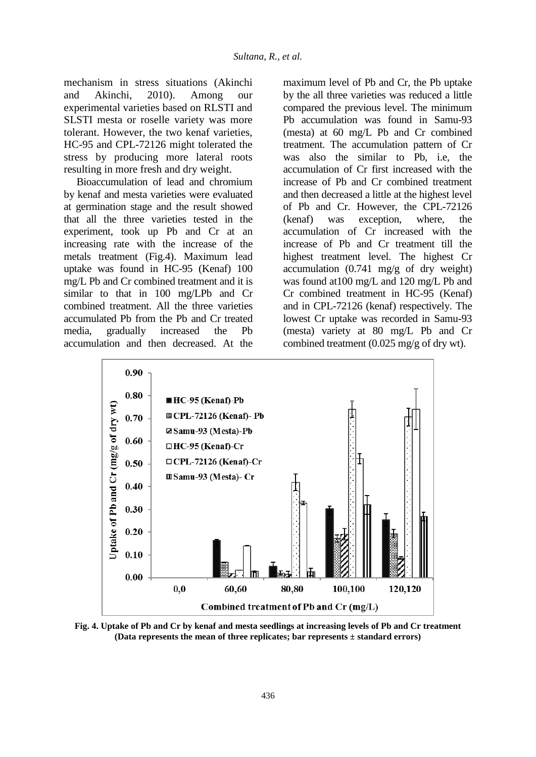mechanism in stress situations (Akinchi and Akinchi, 2010). Among our experimental varieties based on RLSTI and SLSTI mesta or roselle variety was more tolerant. However, the two kenaf varieties, HC-95 and CPL-72126 might tolerated the stress by producing more lateral roots resulting in more fresh and dry weight.

Bioaccumulation of lead and chromium by kenaf and mesta varieties were evaluated at germination stage and the result showed that all the three varieties tested in the experiment, took up Pb and Cr at an increasing rate with the increase of the metals treatment (Fig.4). Maximum lead uptake was found in HC-95 (Kenaf) 100 mg/L Pb and Cr combined treatment and it is similar to that in 100 mg/LPb and Cr combined treatment. All the three varieties accumulated Pb from the Pb and Cr treated media, gradually increased the Pb accumulation and then decreased. At the maximum level of Pb and Cr, the Pb uptake by the all three varieties was reduced a little compared the previous level. The minimum Pb accumulation was found in Samu-93 (mesta) at 60 mg/L Pb and Cr combined treatment. The accumulation pattern of Cr was also the similar to Pb, i.e, the accumulation of Cr first increased with the increase of Pb and Cr combined treatment and then decreased a little at the highest level of Pb and Cr. However, the CPL-72126 (kenaf) was exception, where, the accumulation of Cr increased with the increase of Pb and Cr treatment till the highest treatment level. The highest Cr accumulation (0.741 mg/g of dry weight) was found at100 mg/L and 120 mg/L Pb and Cr combined treatment in HC-95 (Kenaf) and in CPL-72126 (kenaf) respectively. The lowest Cr uptake was recorded in Samu-93 (mesta) variety at 80 mg/L Pb and Cr combined treatment (0.025 mg/g of dry wt).



**Fig. 4. Uptake of Pb and Cr by kenaf and mesta seedlings at increasing levels of Pb and Cr treatment (Data represents the mean of three replicates; bar represents ± standard errors)**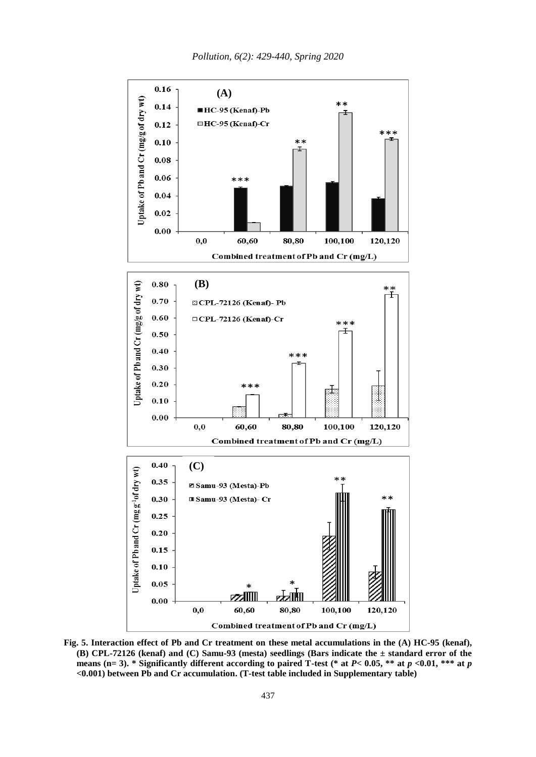

**Fig. 5. Interaction effect of Pb and Cr treatment on these metal accumulations in the (A) HC-95 (kenaf), (B) CPL-72126 (kenaf) and (C) Samu-93 (mesta) seedlings (Bars indicate the ± standard error of the means (n= 3). \* Significantly different according to paired T-test (\* at** *P***< 0.05, \*\* at** *p <***0.01, \*\*\* at** *p <***0.001) between Pb and Cr accumulation. (T-test table included in Supplementary table)**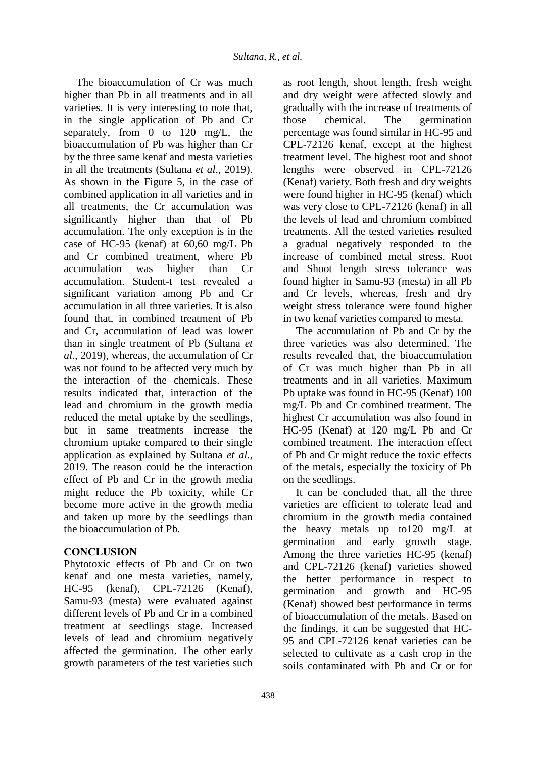The bioaccumulation of Cr was much higher than Pb in all treatments and in all varieties. It is very interesting to note that, in the single application of Pb and Cr separately, from 0 to 120 mg/L, the bioaccumulation of Pb was higher than Cr by the three same kenaf and mesta varieties in all the treatments (Sultana *et al*., 2019). As shown in the Figure 5, in the case of combined application in all varieties and in all treatments, the Cr accumulation was significantly higher than that of Pb accumulation. The only exception is in the case of HC-95 (kenaf) at 60,60 mg/L Pb and Cr combined treatment, where Pb accumulation was higher than Cr accumulation. Student-t test revealed a significant variation among Pb and Cr accumulation in all three varieties. It is also found that, in combined treatment of Pb and Cr, accumulation of lead was lower than in single treatment of Pb (Sultana *et al.*, 2019), whereas, the accumulation of Cr was not found to be affected very much by the interaction of the chemicals. These results indicated that, interaction of the lead and chromium in the growth media reduced the metal uptake by the seedlings, but in same treatments increase the chromium uptake compared to their single application as explained by Sultana *et al.*, 2019. The reason could be the interaction effect of Pb and Cr in the growth media might reduce the Pb toxicity, while Cr become more active in the growth media and taken up more by the seedlings than the bioaccumulation of Pb.

## **CONCLUSION**

Phytotoxic effects of Pb and Cr on two kenaf and one mesta varieties, namely, HC-95 (kenaf), CPL-72126 (Kenaf), Samu-93 (mesta) were evaluated against different levels of Pb and Cr in a combined treatment at seedlings stage. Increased levels of lead and chromium negatively affected the germination. The other early growth parameters of the test varieties such as root length, shoot length, fresh weight and dry weight were affected slowly and gradually with the increase of treatments of those chemical. The germination percentage was found similar in HC-95 and CPL-72126 kenaf, except at the highest treatment level. The highest root and shoot lengths were observed in CPL-72126 (Kenaf) variety. Both fresh and dry weights were found higher in HC-95 (kenaf) which was very close to CPL-72126 (kenaf) in all the levels of lead and chromium combined treatments. All the tested varieties resulted a gradual negatively responded to the increase of combined metal stress. Root and Shoot length stress tolerance was found higher in Samu-93 (mesta) in all Pb and Cr levels, whereas, fresh and dry weight stress tolerance were found higher in two kenaf varieties compared to mesta.

The accumulation of Pb and Cr by the three varieties was also determined. The results revealed that, the bioaccumulation of Cr was much higher than Pb in all treatments and in all varieties. Maximum Pb uptake was found in HC-95 (Kenaf) 100 mg/L Pb and Cr combined treatment. The highest Cr accumulation was also found in HC-95 (Kenaf) at 120 mg/L Pb and Cr combined treatment. The interaction effect of Pb and Cr might reduce the toxic effects of the metals, especially the toxicity of Pb on the seedlings.

It can be concluded that, all the three varieties are efficient to tolerate lead and chromium in the growth media contained the heavy metals up to120 mg/L at germination and early growth stage. Among the three varieties HC-95 (kenaf) and CPL-72126 (kenaf) varieties showed the better performance in respect to germination and growth and HC-95 (Kenaf) showed best performance in terms of bioaccumulation of the metals. Based on the findings, it can be suggested that HC-95 and CPL-72126 kenaf varieties can be selected to cultivate as a cash crop in the soils contaminated with Pb and Cr or for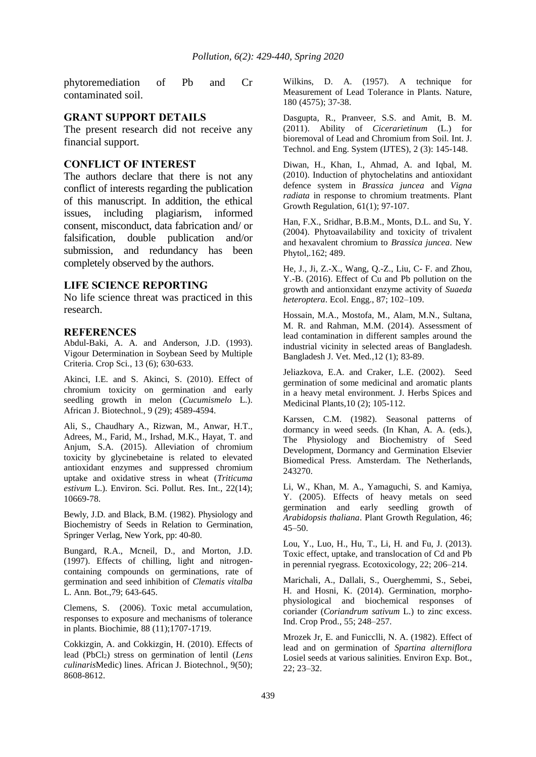phytoremediation of Pb and Cr contaminated soil.

#### **GRANT SUPPORT DETAILS**

The present research did not receive any financial support.

### **CONFLICT OF INTEREST**

The authors declare that there is not any conflict of interests regarding the publication of this manuscript. In addition, the ethical issues, including plagiarism, informed consent, misconduct, data fabrication and/ or falsification, double publication and/or submission, and redundancy has been completely observed by the authors.

#### **LIFE SCIENCE REPORTING**

No life science threat was practiced in this research.

#### **REFERENCES**

Abdul-Baki, A. A. and Anderson, J.D. (1993). Vigour Determination in Soybean Seed by Multiple Criteria. Crop Sci., 13 (6); 630-633.

Akinci, I.E. and S. Akinci, S. (2010). Effect of chromium toxicity on germination and early seedling growth in melon (*Cucumismelo* L.). African J. Biotechnol*.*, 9 (29); 4589-4594.

Ali, S., Chaudhary A., Rizwan, M., Anwar, H.T., Adrees, M., Farid, M., Irshad, M.K., Hayat, T. and Anjum, S.A. (2015). Alleviation of chromium toxicity by glycinebetaine is related to elevated antioxidant enzymes and suppressed chromium uptake and oxidative stress in wheat (*Triticuma estivum* L.). Environ. Sci. Pollut. Res. Int., 22(14); 10669-78.

Bewly, J.D. and Black, B.M. (1982). Physiology and Biochemistry of Seeds in Relation to Germination, Springer Verlag, New York, pp: 40-80.

Bungard, R.A., Mcneil, D., and Morton, J.D. (1997). Effects of chilling, light and nitrogencontaining compounds on germinations, rate of germination and seed inhibition of *Clematis vitalba* L. Ann. Bot.,79; 643-645.

Clemens, S. (2006). Toxic metal accumulation, responses to exposure and mechanisms of tolerance in plants. Biochimie, 88 (11);1707-1719.

Cokkizgin, A. and Cokkizgin, H. (2010). Effects of lead (PbCl<sub>2</sub>) stress on germination of lentil (*Lens culinaris*Medic) lines. African J. Biotechnol., 9(50); 8608-8612.

Wilkins, D. A. (1957). A technique for Measurement of Lead Tolerance in Plants. Nature, 180 (4575); 37-38.

Dasgupta, R., Pranveer, S.S. and Amit, B. M. (2011). Ability of *Cicerarietinum* (L.) for bioremoval of Lead and Chromium from Soil. Int. J. Technol. and Eng. System (IJTES), 2 (3): 145-148.

Diwan, H., Khan, I., Ahmad, A. and Iqbal, M. (2010). Induction of phytochelatins and antioxidant defence system in *Brassica juncea* and *Vigna radiata* in response to chromium treatments. Plant Growth Regulation, 61(1); 97-107.

Han, F.X., Sridhar, B.B.M., Monts, D.L. and Su, Y. (2004). Phytoavailability and toxicity of trivalent and hexavalent chromium to *Brassica juncea*. New Phytol,*.*162; 489.

He, J., Ji, Z.-X., Wang, Q.-Z., Liu, C- F. and Zhou, Y.-B. (2016). Effect of Cu and Pb pollution on the growth and antionxidant enzyme activity of *Suaeda heteroptera*. Ecol. Engg., 87; 102–109.

Hossain, M.A., Mostofa, M., Alam, M.N., Sultana, M. R. and Rahman, M.M. (2014). Assessment of lead contamination in different samples around the industrial vicinity in selected areas of Bangladesh. Bangladesh J. Vet. Med*.*,12 (1); 83-89.

Jeliazkova, E.A. and Craker, L.E. (2002). Seed germination of some medicinal and aromatic plants in a heavy metal environment. J. Herbs Spices and Medicinal Plants*,*10 (2); 105-112.

Karssen, C.M. (1982). Seasonal patterns of dormancy in weed seeds. (In Khan, A. A. (eds.), The Physiology and Biochemistry of Seed Development, Dormancy and Germination Elsevier Biomedical Press. Amsterdam. The Netherlands, 243270.

Li, W., Khan, M. A., Yamaguchi, S. and Kamiya, Y. (2005). Effects of heavy metals on seed germination and early seedling growth of *Arabidopsis thaliana*. Plant Growth Regulation, 46; 45–50.

Lou, Y., Luo, H., Hu, T., Li, H. and Fu, J. (2013). Toxic effect, uptake, and translocation of Cd and Pb in perennial ryegrass. Ecotoxicology, 22; 206–214.

Marichali, A., Dallali, S., Ouerghemmi, S., Sebei, H. and Hosni, K. (2014). Germination, morphophysiological and biochemical responses of coriander (*Coriandrum sativum* L.) to zinc excess. Ind. Crop Prod., 55; 248–257.

Mrozek Jr, E. and Funicclli, N. A. (1982). Effect of lead and on germination of *Spartina alterniflora* Losiel seeds at various salinities. Environ Exp. Bot., 22; 23–32.